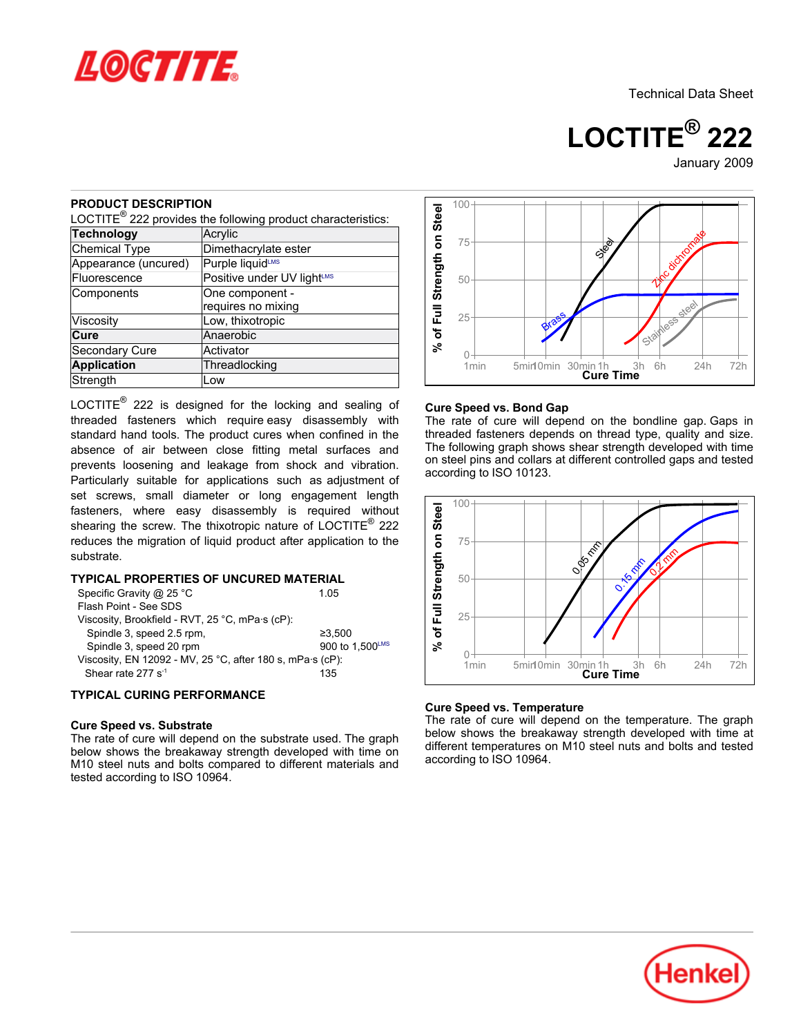

Technical Data Sheet

**LOCTITE® 222**

# January-2009

# **PRODUCT DESCRIPTION**

LOCTITE $^{\circledR}$  222 provides the following product characteristics:

| Acrylic                                |
|----------------------------------------|
| Dimethacrylate ester                   |
| Purple liquidLMS                       |
| Positive under UV light <sup>LMS</sup> |
| One component -<br>requires no mixing  |
|                                        |
| Low, thixotropic                       |
| Anaerobic                              |
| Activator                              |
| Threadlocking                          |
| Low                                    |
|                                        |

LOCTITE $^{\circledR}$  222 is designed for the locking and sealing of threaded fasteners which require easy disassembly with standard hand tools. The product cures when confined in the absence of air between close fitting metal surfaces and prevents loosening and leakage from shock and vibration. Particularly suitable for applications such as adjustment of set screws, small diameter or long engagement length fasteners, where easy disassembly is required without shearing the screw. The thixotropic nature of LOCTITE® 222 reduces the migration of liquid product after application to the substrate. **FRODUCE THE PROPERTIES OF UNCURED MATERIAL**<br>
Technology (Accylic Connection Connection Connection Connection Connection Components<br>
FROM Components<br>
Components<br>
Components (and component according to the component of UNIs

# **TYPICAL PROPERTIES OF UNCURED MATERIAL**

| Specific Gravity @ 25 °C                                  | 1 05            |  |  |  |
|-----------------------------------------------------------|-----------------|--|--|--|
| Flash Point - See SDS                                     |                 |  |  |  |
| Viscosity, Brookfield - RVT, 25 °C, mPa·s (cP):           |                 |  |  |  |
| Spindle 3, speed 2.5 rpm,                                 | ≥3.500          |  |  |  |
| Spindle 3, speed 20 rpm                                   | 900 to 1,500LMS |  |  |  |
| Viscosity, EN 12092 - MV, 25 °C, after 180 s, mPa·s (cP): |                 |  |  |  |
| Shear rate 277 $s^{-1}$                                   | 135             |  |  |  |

## **TYPICAL CURING PERFORMANCE**

#### **Cure Speed vs. Substrate**

The rate of cure will depend on the substrate used. The graph below shows the breakaway strength developed with time on M10 steel nuts and bolts compared to different materials and



#### **Cure Speed vs. Bond Gap**

The rate of cure will depend on the bondline gap. Gaps in threaded fasteners depends on thread type, quality and size. The following graph shows shear strength developed with time on steel pins and collars at different controlled gaps and tested according to ISO 10123.



#### **Cure Speed vs. Temperature**

The rate of cure will depend on the temperature. The graph below shows the breakaway strength developed with time at different temperatures on M10 steel nuts and bolts and tested according to ISO 10964.

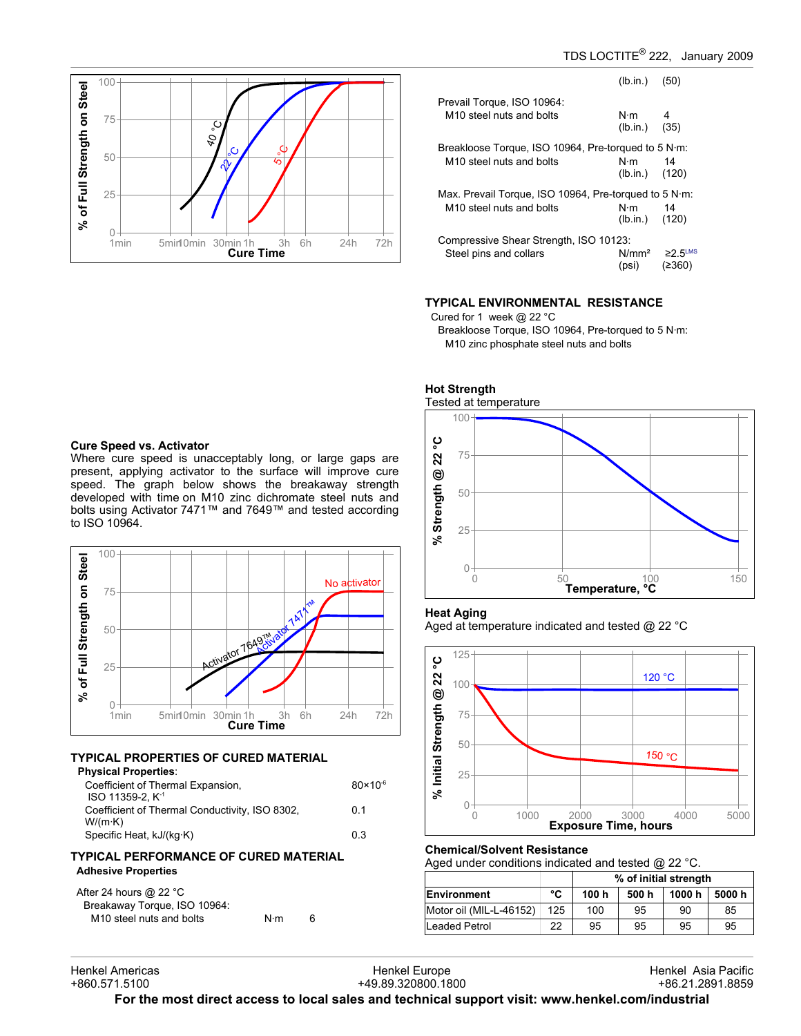

|                                                       | $(lb.in.)$ (50)                  |                                     |  |  |
|-------------------------------------------------------|----------------------------------|-------------------------------------|--|--|
| Prevail Torque, ISO 10964:                            |                                  |                                     |  |  |
| M <sub>10</sub> steel nuts and bolts                  | $N \cdot m$ 4<br>$(lb.in.)$ (35) |                                     |  |  |
| Breakloose Torque, ISO 10964, Pre-torqued to 5 N·m:   |                                  |                                     |  |  |
| M <sub>10</sub> steel nuts and bolts                  | N⋅m<br>$(lb.in.)$ (120)          | 14                                  |  |  |
| Max. Prevail Torque, ISO 10964, Pre-torqued to 5 N·m: |                                  |                                     |  |  |
| M <sub>10</sub> steel nuts and bolts                  | N·m<br>$(lb.in.)$ (120)          | 14                                  |  |  |
| Compressive Shear Strength, ISO 10123:                |                                  |                                     |  |  |
| Steel pins and collars                                | N/mm²<br>(psi)                   | $\geq$ 2.5 <sup>LMS</sup><br>(≥360) |  |  |

## **TYPICAL ENVIRONMENTAL RESISTANCE**

Cured for 1 week @ 22 °C

Breakloose Torque, ISO 10964, Pre-torqued to 5 N·m: M10 zinc phosphate steel nuts and bolts



#### **Heat Aging**

Aged at temperature indicated and tested @ 22 °C



#### **Chemical/Solvent Resistance**

Aged under conditions indicated and tested @ 22 °C.

|                         |     | % of initial strength |       |        |       |
|-------------------------|-----|-----------------------|-------|--------|-------|
| Environment             | °C  | 100 h                 | 500 h | 1000 h | 5000h |
| Motor oil (MIL-L-46152) | 125 | 100                   | 95    | 90     | 85    |
| Leaded Petrol           | 22  | 95                    | 95    | 95     | 95    |

# **Cure Speed vs. Activator**

Where cure speed is unacceptably long, or large gaps are present, applying activator to the surface will improve cure speed. The graph below shows the breakaway strength developed with time on M10 zinc dichromate steel nuts and bolts using Activator 7471™ and 7649™ and tested according to ISO 10964.



# **TYPICAL PROPERTIES OF CURED MATERIAL**

| <b>Physical Properties:</b>                    |                     |
|------------------------------------------------|---------------------|
| Coefficient of Thermal Expansion,              | $80 \times 10^{-6}$ |
| ISO 11359-2. K <sup>-1</sup>                   |                     |
| Coefficient of Thermal Conductivity, ISO 8302, | 0 1                 |
| $W/(m \cdot K)$                                |                     |
| Specific Heat, kJ/(kg·K)                       | 0.3                 |
|                                                |                     |

## **TYPICAL PERFORMANCE OF CURED MATERIAL Adhesive Properties**

After 24 hours @ 22 °C Breakaway Torque, ISO 10964: M10 steel nuts and bolts N·m 6

Henkel Europe +49.89.320800.1800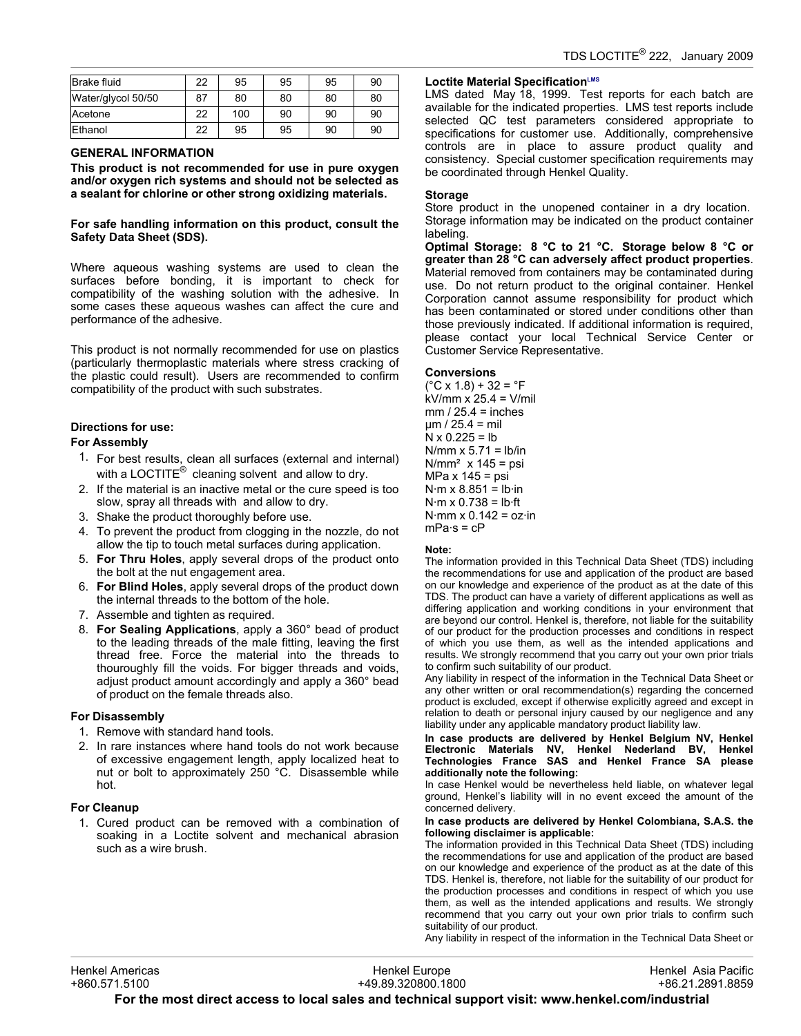| Brake fluid        | 22 | 95  | 95 | 95 | 90 |
|--------------------|----|-----|----|----|----|
| Water/glycol 50/50 | 87 | 80  | 80 | 80 | 80 |
| Acetone            | 22 | 100 | 90 | 90 | 90 |
| Ethanol            | 22 | 95  | 95 | 90 | 90 |

## **GENERAL INFORMATION**

**This product is not recommended for use in pure oxygen and/or oxygen rich systems and should not be selected as a sealant for chlorine or other strong oxidizing materials.**

**For safe handling information on this product, consult the Safety Data Sheet (SDS).**

Where aqueous washing systems are used to clean the surfaces before bonding, it is important to check for compatibility of the washing solution with the adhesive. In some cases these aqueous washes can affect the cure and performance of the adhesive.

This product is not normally recommended for use on plastics (particularly thermoplastic materials where stress cracking of the plastic could result). Users are recommended to confirm compatibility of the product with such substrates.

# **Directions for use:**

# **For Assembly**

- 1. For best results, clean all surfaces (external and internal) with a LOCTITE $^{\circledR}$  cleaning solvent and allow to dry.
- 2. If the material is an inactive metal or the cure speed is too slow, spray all threads with and allow to dry.
- 3. Shake the product thoroughly before use.
- 4. To prevent the product from clogging in the nozzle, do not allow the tip to touch metal surfaces during application.
- 5. **For Thru Holes**, apply several drops of the product onto the bolt at the nut engagement area.
- 6. **For Blind Holes**, apply several drops of the product down the internal threads to the bottom of the hole.
- 7. Assemble and tighten as required.
- 8. **For Sealing Applications**, apply a 360° bead of product to the leading threads of the male fitting, leaving the first thread free. Force the material into the threads to thouroughly fill the voids. For bigger threads and voids, adjust product amount accordingly and apply a 360° bead of product on the female threads also.

#### **For Disassembly**

- 1. Remove with standard hand tools.
- 2. In rare instances where hand tools do not work because of excessive engagement length, apply localized heat to nut or bolt to approximately 250 °C. Disassemble while hot.

# **For Cleanup**

1. Cured product can be removed with a combination of soaking in a Loctite solvent and mechanical abrasion such as a wire brush.

## **Loctite Material SpecificationLMS**

LMS dated May 18, 1999. Test reports for each batch are available for the indicated properties. LMS test reports include selected QC test parameters considered appropriate to specifications for customer use. Additionally, comprehensive controls are in place to assure product quality and consistency. Special customer specification requirements may be coordinated through Henkel Quality.

#### **Storage**

Store product in the unopened container in a dry location. Storage information may be indicated on the product container labeling.

**Optimal Storage: 8 °C to 21 °C. Storage below 8 °C or greater than 28 °C can adversely affect product properties**. Material removed from containers may be contaminated during use. Do not return product to the original container. Henkel Corporation cannot assume responsibility for product which has been contaminated or stored under conditions other than those previously indicated. If additional information is required, please contact your local Technical Service Center or Customer Service Representative.

#### **Conversions**

 $(^{\circ}C$  x 1.8) + 32 =  $^{\circ}F$ kV/mm x 25.4 = V/mil  $mm / 25.4 = inches$  $\mu$ m / 25.4 = mil  $N \times 0.225 = lb$ N/mm  $x$  5.71 = lb/in  $N/mm<sup>2</sup>$  x 145 = psi MPa  $x$  145 = psi  $N·m \times 8.851 = lb·in$  $N·m \times 0.738 = lb·ft$  $N·mm \times 0.142 = oz·in$  $mPa·s = cP$ 

#### **Note:**

The information provided in this Technical Data Sheet (TDS) including the recommendations for use and application of the product are based on our knowledge and experience of the product as at the date of this TDS. The product can have a variety of different applications as well as differing application and working conditions in your environment that are beyond our control. Henkel is, therefore, not liable for the suitability of our product for the production processes and conditions in respect of which you use them, as well as the intended applications and results. We strongly recommend that you carry out your own prior trials to confirm such suitability of our product.

Any liability in respect of the information in the Technical Data Sheet or any other written or oral recommendation(s) regarding the concerned product is excluded, except if otherwise explicitly agreed and except in relation to death or personal injury caused by our negligence and any liability under any applicable mandatory product liability law.

**In case products are delivered by Henkel Belgium NV, Henkel Electronic Materials NV, Henkel Nederland BV, Henkel Technologies France SAS and Henkel France SA please additionally note the following:** 

In case Henkel would be nevertheless held liable, on whatever legal ground, Henkel's liability will in no event exceed the amount of the concerned delivery.

#### **In case products are delivered by Henkel Colombiana, S.A.S. the following disclaimer is applicable:**

The information provided in this Technical Data Sheet (TDS) including the recommendations for use and application of the product are based on our knowledge and experience of the product as at the date of this TDS. Henkel is, therefore, not liable for the suitability of our product for the production processes and conditions in respect of which you use them, as well as the intended applications and results. We strongly recommend that you carry out your own prior trials to confirm such suitability of our product.

Any liability in respect of the information in the Technical Data Sheet or

Henkel Europe +49.89.320800.1800